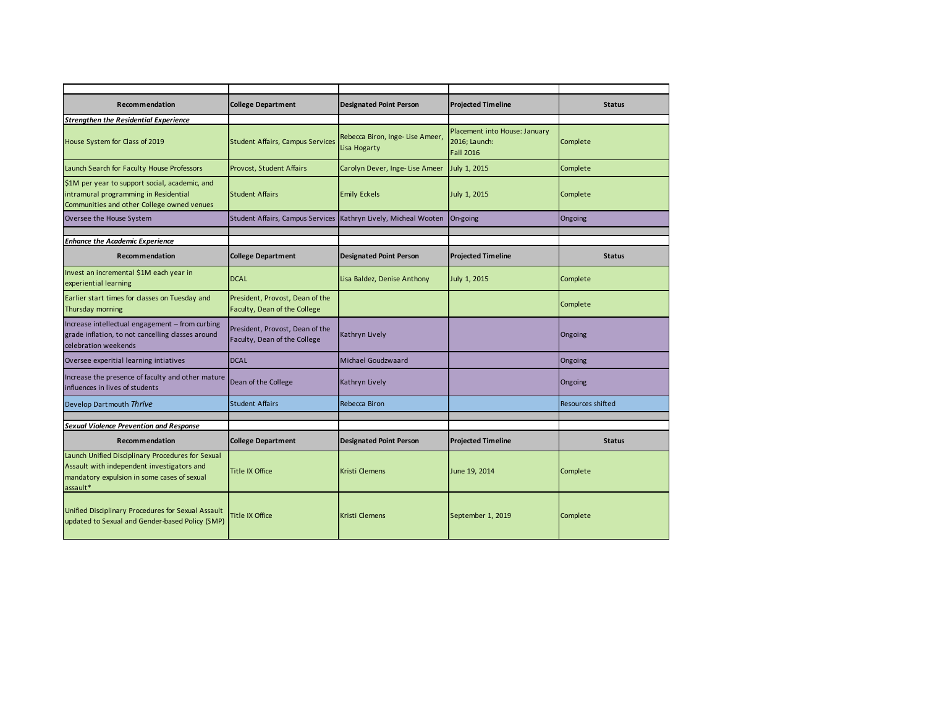| Recommendation                                                                                                                                             | <b>College Department</b>                                       | <b>Designated Point Person</b>                  | <b>Projected Timeline</b>                                          | <b>Status</b>     |
|------------------------------------------------------------------------------------------------------------------------------------------------------------|-----------------------------------------------------------------|-------------------------------------------------|--------------------------------------------------------------------|-------------------|
| <b>Strengthen the Residential Experience</b>                                                                                                               |                                                                 |                                                 |                                                                    |                   |
| House System for Class of 2019                                                                                                                             | <b>Student Affairs, Campus Services</b>                         | Rebecca Biron, Inge-Lise Ameer,<br>Lisa Hogarty | Placement into House: January<br>2016; Launch:<br><b>Fall 2016</b> | Complete          |
| Launch Search for Faculty House Professors                                                                                                                 | Provost, Student Affairs                                        | Carolyn Dever, Inge- Lise Ameer                 | July 1, 2015                                                       | Complete          |
| \$1M per year to support social, academic, and<br>intramural programming in Residential<br>Communities and other College owned venues                      | <b>Student Affairs</b>                                          | <b>Emily Eckels</b>                             | July 1, 2015                                                       | Complete          |
| Oversee the House System                                                                                                                                   | <b>Student Affairs, Campus Services</b>                         | Kathryn Lively, Micheal Wooten                  | On-going                                                           | Ongoing           |
| <b>Enhance the Academic Experience</b>                                                                                                                     |                                                                 |                                                 |                                                                    |                   |
| Recommendation                                                                                                                                             | <b>College Department</b>                                       | <b>Designated Point Person</b>                  | <b>Projected Timeline</b>                                          | <b>Status</b>     |
| Invest an incremental \$1M each year in<br>experiential learning                                                                                           | <b>DCAL</b>                                                     | Lisa Baldez, Denise Anthony                     | July 1, 2015                                                       | Complete          |
| Earlier start times for classes on Tuesday and<br>Thursday morning                                                                                         | President, Provost, Dean of the<br>Faculty, Dean of the College |                                                 |                                                                    | Complete          |
| Increase intellectual engagement - from curbing<br>grade inflation, to not cancelling classes around<br>celebration weekends                               | President, Provost, Dean of the<br>Faculty, Dean of the College | Kathryn Lively                                  |                                                                    | Ongoing           |
| Oversee experitial learning intiatives                                                                                                                     | <b>DCAL</b>                                                     | Michael Goudzwaard                              |                                                                    | Ongoing           |
| Increase the presence of faculty and other mature<br>influences in lives of students                                                                       | Dean of the College                                             | Kathryn Lively                                  |                                                                    | Ongoing           |
| Develop Dartmouth Thrive                                                                                                                                   | <b>Student Affairs</b>                                          | Rebecca Biron                                   |                                                                    | Resources shifted |
| <b>Sexual Violence Prevention and Response</b>                                                                                                             |                                                                 |                                                 |                                                                    |                   |
|                                                                                                                                                            |                                                                 |                                                 |                                                                    |                   |
| Recommendation                                                                                                                                             | <b>College Department</b>                                       | <b>Designated Point Person</b>                  | <b>Projected Timeline</b>                                          | <b>Status</b>     |
| Launch Unified Disciplinary Procedures for Sexual<br>Assault with independent investigators and<br>mandatory expulsion in some cases of sexual<br>assault* | Title IX Office                                                 | Kristi Clemens                                  | June 19, 2014                                                      | Complete          |
| Unified Disciplinary Procedures for Sexual Assault<br>updated to Sexual and Gender-based Policy (SMP)                                                      | Title IX Office                                                 | Kristi Clemens                                  | September 1, 2019                                                  | Complete          |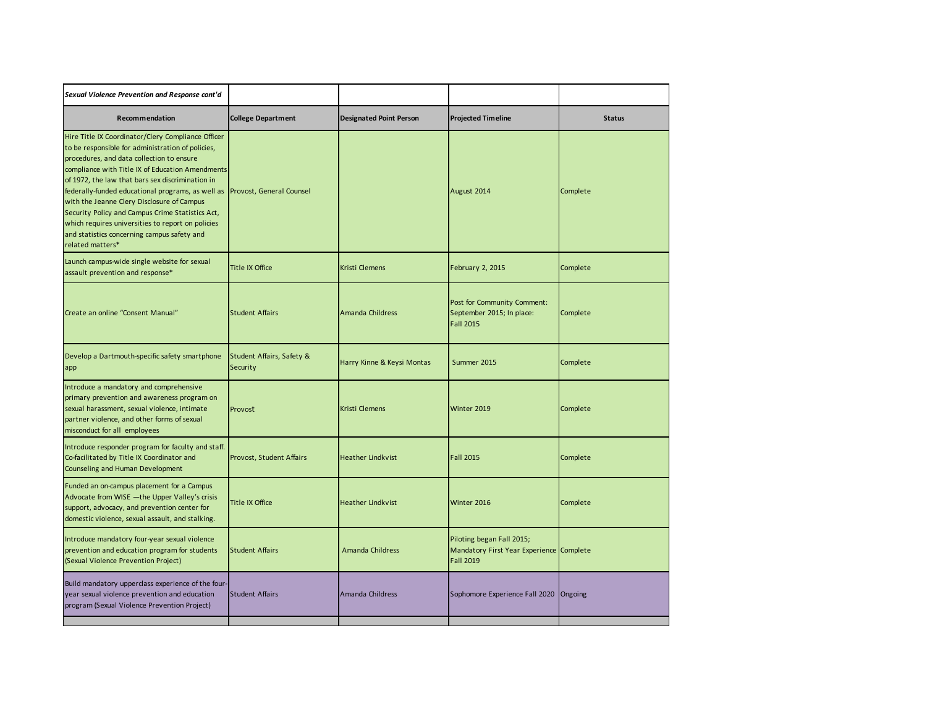| Sexual Violence Prevention and Response cont'd                                                                                                                                                                                                                                                                                                                                                                                                                                                                                                                       |                                       |                                |                                                                                           |               |
|----------------------------------------------------------------------------------------------------------------------------------------------------------------------------------------------------------------------------------------------------------------------------------------------------------------------------------------------------------------------------------------------------------------------------------------------------------------------------------------------------------------------------------------------------------------------|---------------------------------------|--------------------------------|-------------------------------------------------------------------------------------------|---------------|
| Recommendation                                                                                                                                                                                                                                                                                                                                                                                                                                                                                                                                                       | <b>College Department</b>             | <b>Designated Point Person</b> | <b>Projected Timeline</b>                                                                 | <b>Status</b> |
| Hire Title IX Coordinator/Clery Compliance Officer<br>to be responsible for administration of policies,<br>procedures, and data collection to ensure<br>compliance with Title IX of Education Amendments<br>of 1972, the law that bars sex discrimination in<br>federally-funded educational programs, as well as Provost, General Counsel<br>with the Jeanne Clery Disclosure of Campus<br>Security Policy and Campus Crime Statistics Act,<br>which requires universities to report on policies<br>and statistics concerning campus safety and<br>related matters* |                                       |                                | August 2014                                                                               | Complete      |
| Launch campus-wide single website for sexual<br>assault prevention and response*                                                                                                                                                                                                                                                                                                                                                                                                                                                                                     | <b>Title IX Office</b>                | <b>Kristi Clemens</b>          | February 2, 2015                                                                          | Complete      |
| Create an online "Consent Manual"                                                                                                                                                                                                                                                                                                                                                                                                                                                                                                                                    | <b>Student Affairs</b>                | Amanda Childress               | Post for Community Comment:<br>September 2015; In place:<br><b>Fall 2015</b>              | Complete      |
| Develop a Dartmouth-specific safety smartphone<br>app                                                                                                                                                                                                                                                                                                                                                                                                                                                                                                                | Student Affairs, Safety &<br>Security | Harry Kinne & Keysi Montas     | Summer 2015                                                                               | Complete      |
| Introduce a mandatory and comprehensive<br>primary prevention and awareness program on<br>sexual harassment, sexual violence, intimate<br>partner violence, and other forms of sexual<br>misconduct for all employees                                                                                                                                                                                                                                                                                                                                                | Provost                               | <b>Kristi Clemens</b>          | Winter 2019                                                                               | Complete      |
| Introduce responder program for faculty and staff.<br>Co-facilitated by Title IX Coordinator and<br>Counseling and Human Development                                                                                                                                                                                                                                                                                                                                                                                                                                 | Provost, Student Affairs              | <b>Heather Lindkvist</b>       | <b>Fall 2015</b>                                                                          | Complete      |
| Funded an on-campus placement for a Campus<br>Advocate from WISE - the Upper Valley's crisis<br>support, advocacy, and prevention center for<br>domestic violence, sexual assault, and stalking.                                                                                                                                                                                                                                                                                                                                                                     | <b>Title IX Office</b>                | <b>Heather Lindkvist</b>       | Winter 2016                                                                               | Complete      |
| Introduce mandatory four-year sexual violence<br>prevention and education program for students<br>(Sexual Violence Prevention Project)                                                                                                                                                                                                                                                                                                                                                                                                                               | <b>Student Affairs</b>                | Amanda Childress               | Piloting began Fall 2015;<br>Mandatory First Year Experience Complete<br><b>Fall 2019</b> |               |
| Build mandatory upperclass experience of the four-<br>year sexual violence prevention and education<br>program (Sexual Violence Prevention Project)                                                                                                                                                                                                                                                                                                                                                                                                                  | <b>Student Affairs</b>                | Amanda Childress               | Sophomore Experience Fall 2020                                                            | Ongoing       |
|                                                                                                                                                                                                                                                                                                                                                                                                                                                                                                                                                                      |                                       |                                |                                                                                           |               |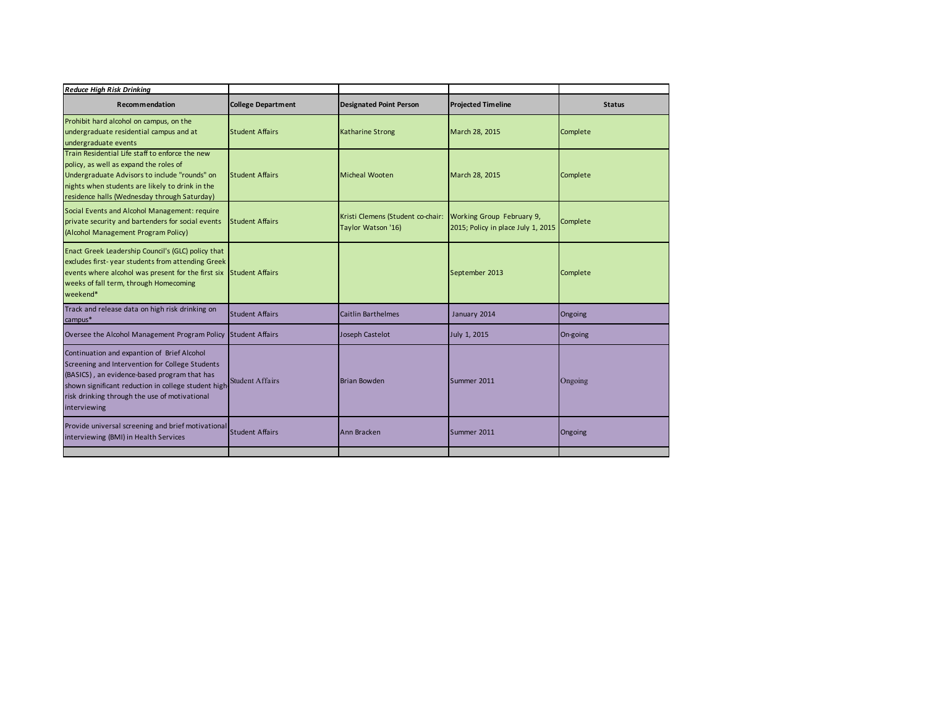| <b>Reduce High Risk Drinking</b>                                                                                                                                                                                                                                       |                           |                                                                                   |                                    |               |
|------------------------------------------------------------------------------------------------------------------------------------------------------------------------------------------------------------------------------------------------------------------------|---------------------------|-----------------------------------------------------------------------------------|------------------------------------|---------------|
| Recommendation                                                                                                                                                                                                                                                         | <b>College Department</b> | <b>Designated Point Person</b>                                                    | <b>Projected Timeline</b>          | <b>Status</b> |
| Prohibit hard alcohol on campus, on the<br>undergraduate residential campus and at<br>undergraduate events                                                                                                                                                             | <b>Student Affairs</b>    | Katharine Strong                                                                  | March 28, 2015                     | Complete      |
| Train Residential Life staff to enforce the new<br>policy, as well as expand the roles of<br>Undergraduate Advisors to include "rounds" on<br>nights when students are likely to drink in the<br>residence halls (Wednesday through Saturday)                          | <b>Student Affairs</b>    | Micheal Wooten                                                                    | March 28, 2015                     | Complete      |
| Social Events and Alcohol Management: require<br>private security and bartenders for social events<br>(Alcohol Management Program Policy)                                                                                                                              | <b>Student Affairs</b>    | Kristi Clemens (Student co-chair: Working Group February 9,<br>Taylor Watson '16) | 2015; Policy in place July 1, 2015 | Complete      |
| Enact Greek Leadership Council's (GLC) policy that<br>excludes first-year students from attending Greek<br>events where alcohol was present for the first six<br>weeks of fall term, through Homecoming<br>weekend*                                                    | <b>Student Affairs</b>    |                                                                                   | September 2013                     | Complete      |
| Track and release data on high risk drinking on<br>campus*                                                                                                                                                                                                             | <b>Student Affairs</b>    | <b>Caitlin Barthelmes</b>                                                         | January 2014                       | Ongoing       |
| Oversee the Alcohol Management Program Policy Student Affairs                                                                                                                                                                                                          |                           | Joseph Castelot                                                                   | July 1, 2015                       | On-going      |
| Continuation and expantion of Brief Alcohol<br>Screening and Intervention for College Students<br>(BASICS), an evidence-based program that has<br>shown significant reduction in college student high<br>risk drinking through the use of motivational<br>interviewing | <b>Student Affairs</b>    | <b>Brian Bowden</b>                                                               | Summer 2011                        | Ongoing       |
| Provide universal screening and brief motivational<br>interviewing (BMI) in Health Services                                                                                                                                                                            | <b>Student Affairs</b>    | Ann Bracken                                                                       | Summer 2011                        | Ongoing       |
|                                                                                                                                                                                                                                                                        |                           |                                                                                   |                                    |               |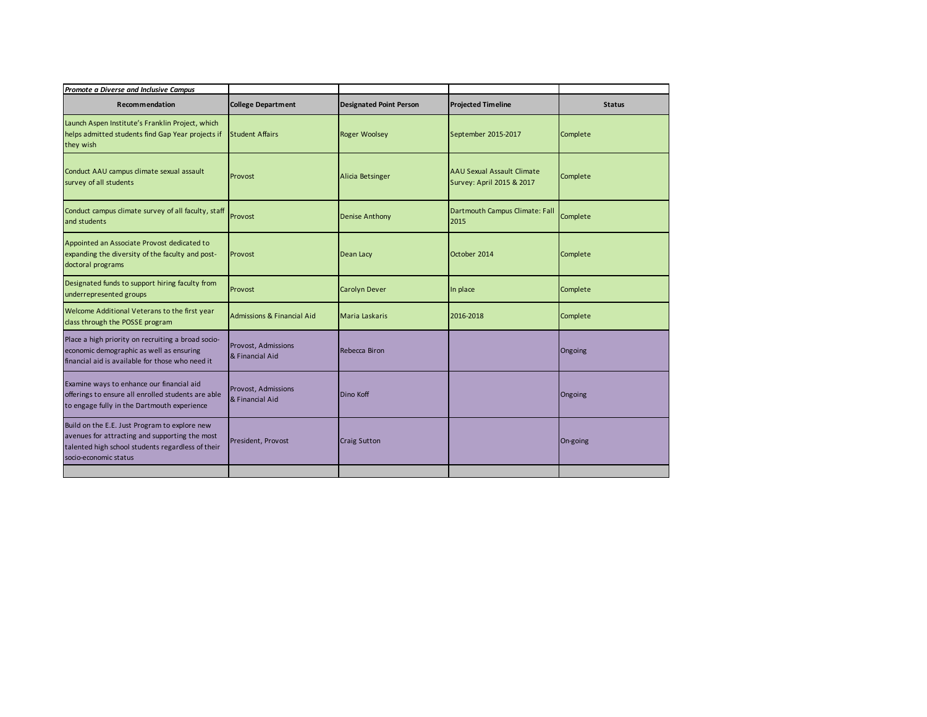| Promote a Diverse and Inclusive Campus                                                                                                                                        |                                        |                                |                                                                |               |
|-------------------------------------------------------------------------------------------------------------------------------------------------------------------------------|----------------------------------------|--------------------------------|----------------------------------------------------------------|---------------|
| Recommendation                                                                                                                                                                | <b>College Department</b>              | <b>Designated Point Person</b> | <b>Projected Timeline</b>                                      | <b>Status</b> |
| Launch Aspen Institute's Franklin Project, which<br>helps admitted students find Gap Year projects if<br>they wish                                                            | <b>Student Affairs</b>                 | Roger Woolsey                  | September 2015-2017                                            | Complete      |
| Conduct AAU campus climate sexual assault<br>survey of all students                                                                                                           | Provost                                | Alicia Betsinger               | <b>AAU Sexual Assault Climate</b><br>Survey: April 2015 & 2017 | Complete      |
| Conduct campus climate survey of all faculty, staff<br>and students                                                                                                           | Provost                                | <b>Denise Anthony</b>          | Dartmouth Campus Climate: Fall<br>2015                         | Complete      |
| Appointed an Associate Provost dedicated to<br>expanding the diversity of the faculty and post-<br>doctoral programs                                                          | Provost                                | Dean Lacy                      | October 2014                                                   | Complete      |
| Designated funds to support hiring faculty from<br>underrepresented groups                                                                                                    | Provost                                | <b>Carolyn Dever</b>           | In place                                                       | Complete      |
| Welcome Additional Veterans to the first year<br>class through the POSSE program                                                                                              | <b>Admissions &amp; Financial Aid</b>  | Maria Laskaris                 | 2016-2018                                                      | Complete      |
| Place a high priority on recruiting a broad socio-<br>economic demographic as well as ensuring<br>financial aid is available for those who need it                            | Provost, Admissions<br>& Financial Aid | Rebecca Biron                  |                                                                | Ongoing       |
| Examine ways to enhance our financial aid<br>offerings to ensure all enrolled students are able<br>to engage fully in the Dartmouth experience                                | Provost, Admissions<br>& Financial Aid | Dino Koff                      |                                                                | Ongoing       |
| Build on the E.E. Just Program to explore new<br>avenues for attracting and supporting the most<br>talented high school students regardless of their<br>socio-economic status | President, Provost                     | <b>Craig Sutton</b>            |                                                                | On-going      |
|                                                                                                                                                                               |                                        |                                |                                                                |               |